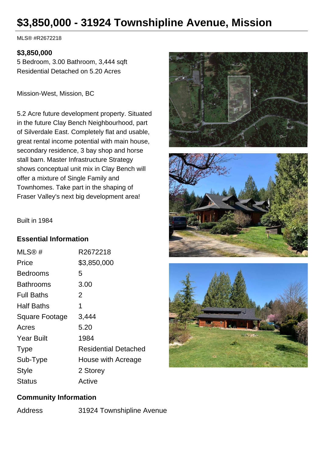## **\$3,850,000 - 31924 Townshipline Avenue, Mission**

MLS® #R2672218

## **\$3,850,000**

5 Bedroom, 3.00 Bathroom, 3,444 sqft Residential Detached on 5.20 Acres

Mission-West, Mission, BC

5.2 Acre future development property. Situated in the future Clay Bench Neighbourhood, part of Silverdale East. Completely flat and usable, great rental income potential with main house, secondary residence, 3 bay shop and horse stall barn. Master Infrastructure Strategy shows conceptual unit mix in Clay Bench will offer a mixture of Single Family and Townhomes. Take part in the shaping of Fraser Valley's next big development area!





Built in 1984

## **Essential Information**

| MLS@#             | R2672218                    |
|-------------------|-----------------------------|
| Price             | \$3,850,000                 |
| Bedrooms          | 5                           |
| Bathrooms         | 3.00                        |
| <b>Full Baths</b> | 2                           |
| <b>Half Baths</b> | 1                           |
| Square Footage    | 3,444                       |
| Acres             | 5.20                        |
| <b>Year Built</b> | 1984                        |
| <b>Type</b>       | <b>Residential Detached</b> |
| Sub-Type          | House with Acreage          |
| Style             | 2 Storey                    |
| Status            | Active                      |

## **Community Information**

Address 31924 Townshipline Avenue